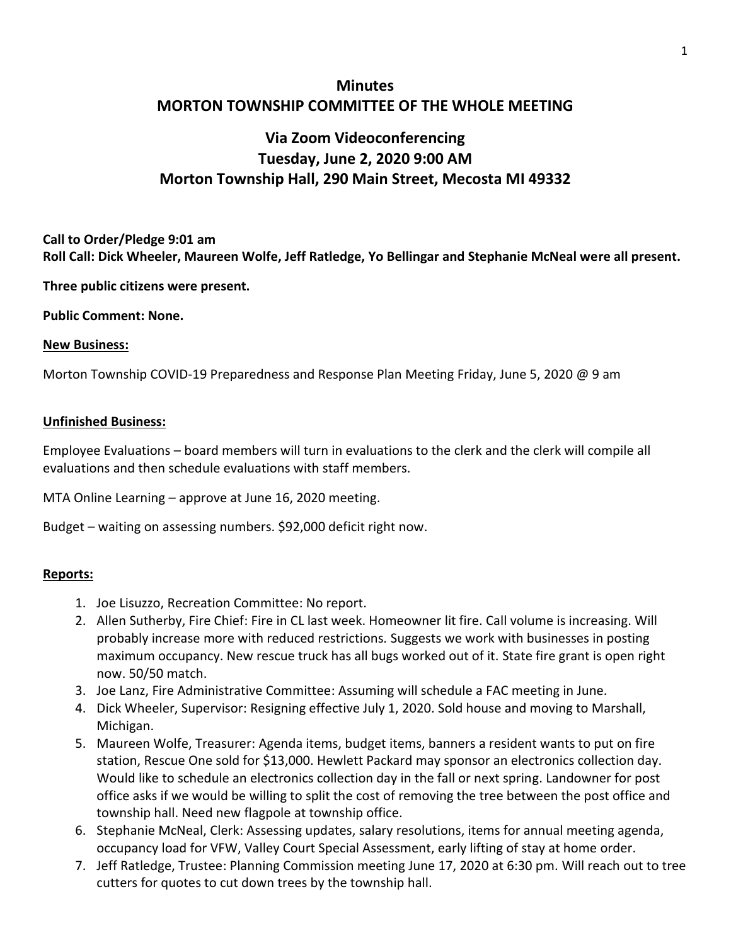## **Minutes MORTON TOWNSHIP COMMITTEE OF THE WHOLE MEETING**

# **Via Zoom Videoconferencing Tuesday, June 2, 2020 9:00 AM Morton Township Hall, 290 Main Street, Mecosta MI 49332**

### **Call to Order/Pledge 9:01 am Roll Call: Dick Wheeler, Maureen Wolfe, Jeff Ratledge, Yo Bellingar and Stephanie McNeal were all present.**

**Three public citizens were present.** 

#### **Public Comment: None.**

#### **New Business:**

Morton Township COVID-19 Preparedness and Response Plan Meeting Friday, June 5, 2020 @ 9 am

#### **Unfinished Business:**

Employee Evaluations – board members will turn in evaluations to the clerk and the clerk will compile all evaluations and then schedule evaluations with staff members.

MTA Online Learning – approve at June 16, 2020 meeting.

Budget – waiting on assessing numbers. \$92,000 deficit right now.

#### **Reports:**

- 1. Joe Lisuzzo, Recreation Committee: No report.
- 2. Allen Sutherby, Fire Chief: Fire in CL last week. Homeowner lit fire. Call volume is increasing. Will probably increase more with reduced restrictions. Suggests we work with businesses in posting maximum occupancy. New rescue truck has all bugs worked out of it. State fire grant is open right now. 50/50 match.
- 3. Joe Lanz, Fire Administrative Committee: Assuming will schedule a FAC meeting in June.
- 4. Dick Wheeler, Supervisor: Resigning effective July 1, 2020. Sold house and moving to Marshall, Michigan.
- 5. Maureen Wolfe, Treasurer: Agenda items, budget items, banners a resident wants to put on fire station, Rescue One sold for \$13,000. Hewlett Packard may sponsor an electronics collection day. Would like to schedule an electronics collection day in the fall or next spring. Landowner for post office asks if we would be willing to split the cost of removing the tree between the post office and township hall. Need new flagpole at township office.
- 6. Stephanie McNeal, Clerk: Assessing updates, salary resolutions, items for annual meeting agenda, occupancy load for VFW, Valley Court Special Assessment, early lifting of stay at home order.
- 7. Jeff Ratledge, Trustee: Planning Commission meeting June 17, 2020 at 6:30 pm. Will reach out to tree cutters for quotes to cut down trees by the township hall.